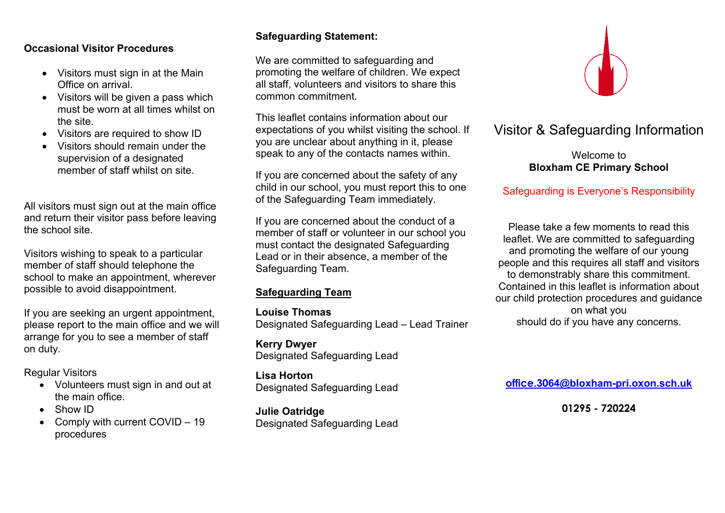## **Occasional Visitor Procedures**

- Visitors must sign in at the Main Office on arrival.
- Visitors will be given a pass which must be worn at all times whilst on the site.
- Visitors are required to show ID
- Visitors should remain under the supervision of a designated member of staff whilst on site.

All visitors must sign out at the main office and return their visitor pass before leaving the school site.

Visitors wishing to speak to a particular member of staff should telephone the school to make an appointment, wherever possible to avoid disappointment.

If you are seeking an urgent appointment, please report to the main office and we will arrange for you to see a member of staff on duty.

Regular Visitors

- Volunteers must sign in and out at the main office.
- Show ID
- Comply with current COVID 19 procedures

# **Safeguarding Statement:**

We are committed to safeguarding and promoting the welfare of children. We expect all staff, volunteers and visitors to share this common commitment.

This leaflet contains information about our expectations of you whilst visiting the school. If you are unclear about anything in it, please speak to any of the contacts names within.

If you are concerned about the safety of any child in our school, you must report this to one of the Safeguarding Team immediately.

If you are concerned about the conduct of a member of staff or volunteer in our school you must contact the designated Safeguarding Lead or in their absence, a member of the Safeguarding Team.

## **Safeguarding Team**

**Louise Thomas** Designated Safeguarding Lead – Lead Trainer

**Kerry Dwyer** Designated Safeguarding Lead

**Lisa Horton** Designated Safeguarding Lead

**Julie Oatridge** Designated Safeguarding Lead



# Visitor & Safeguarding Information

Welcome to **Bloxham CE Primary School**

# Safeguarding is Everyone's Responsibility

Please take a few moments to read this leaflet. We are committed to safeguarding and promoting the welfare of our young people and this requires all staff and visitors to demonstrably share this commitment. Contained in this leaflet is information about our child protection procedures and guidance on what you should do if you have any concerns.

**office.3064@bloxham-pri.oxon.sch.uk**

**01295 - 720224**